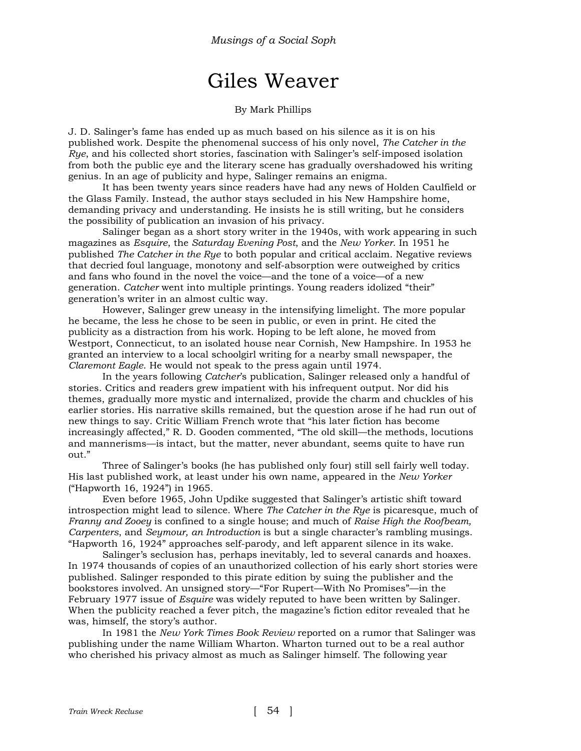# Giles Weaver

## By Mark Phillips

J. D. Salinger's fame has ended up as much based on his silence as it is on his published work. Despite the phenomenal success of his only novel, *The Catcher in the Rye*, and his collected short stories, fascination with Salinger's self-imposed isolation from both the public eye and the literary scene has gradually overshadowed his writing genius. In an age of publicity and hype, Salinger remains an enigma.

It has been twenty years since readers have had any news of Holden Caulfield or the Glass Family. Instead, the author stays secluded in his New Hampshire home, demanding privacy and understanding. He insists he is still writing, but he considers the possibility of publication an invasion of his privacy.

Salinger began as a short story writer in the 1940s, with work appearing in such magazines as *Esquire*, the *Saturday Evening Post*, and the *New Yorker*. In 1951 he published *The Catcher in the Rye* to both popular and critical acclaim. Negative reviews that decried foul language, monotony and self-absorption were outweighed by critics and fans who found in the novel the voice—and the tone of a voice—of a new generation. *Catcher* went into multiple printings. Young readers idolized "their" generation's writer in an almost cultic way.

However, Salinger grew uneasy in the intensifying limelight. The more popular he became, the less he chose to be seen in public, or even in print. He cited the publicity as a distraction from his work. Hoping to be left alone, he moved from Westport, Connecticut, to an isolated house near Cornish, New Hampshire. In 1953 he granted an interview to a local schoolgirl writing for a nearby small newspaper, the *Claremont Eagle*. He would not speak to the press again until 1974.

In the years following *Catcher*'s publication, Salinger released only a handful of stories. Critics and readers grew impatient with his infrequent output. Nor did his themes, gradually more mystic and internalized, provide the charm and chuckles of his earlier stories. His narrative skills remained, but the question arose if he had run out of new things to say. Critic William French wrote that "his later fiction has become increasingly affected," R. D. Gooden commented, "The old skill—the methods, locutions and mannerisms—is intact, but the matter, never abundant, seems quite to have run out."

Three of Salinger's books (he has published only four) still sell fairly well today. His last published work, at least under his own name, appeared in the *New Yorker* ("Hapworth 16, 1924") in 1965.

Even before 1965, John Updike suggested that Salinger's artistic shift toward introspection might lead to silence. Where *The Catcher in the Rye* is picaresque, much of *Franny and Zooey* is confined to a single house; and much of *Raise High the Roofbeam, Carpenters*, and *Seymour, an Introduction* is but a single character's rambling musings. "Hapworth 16, 1924" approaches self-parody, and left apparent silence in its wake.

Salinger's seclusion has, perhaps inevitably, led to several canards and hoaxes. In 1974 thousands of copies of an unauthorized collection of his early short stories were published. Salinger responded to this pirate edition by suing the publisher and the bookstores involved. An unsigned story—"For Rupert—With No Promises"—in the February 1977 issue of *Esquire* was widely reputed to have been written by Salinger. When the publicity reached a fever pitch, the magazine's fiction editor revealed that he was, himself, the story's author.

In 1981 the *New York Times Book Review* reported on a rumor that Salinger was publishing under the name William Wharton. Wharton turned out to be a real author who cherished his privacy almost as much as Salinger himself. The following year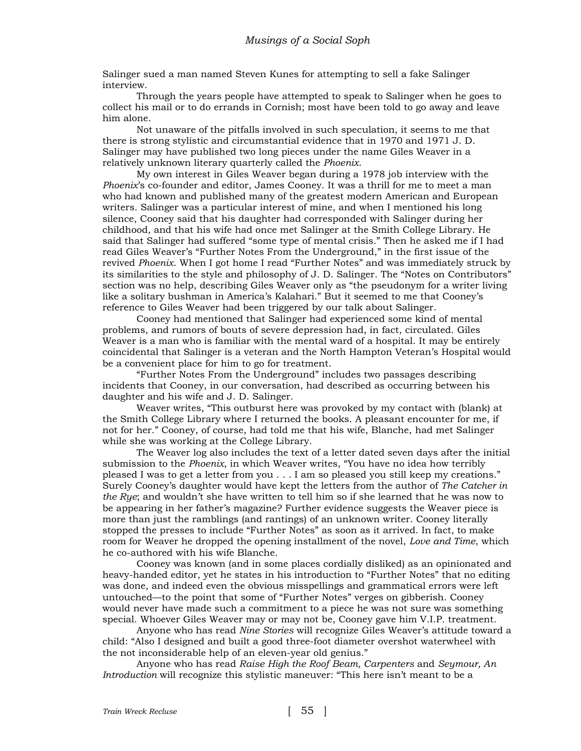Salinger sued a man named Steven Kunes for attempting to sell a fake Salinger interview.

Through the years people have attempted to speak to Salinger when he goes to collect his mail or to do errands in Cornish; most have been told to go away and leave him alone.

Not unaware of the pitfalls involved in such speculation, it seems to me that there is strong stylistic and circumstantial evidence that in 1970 and 1971 J. D. Salinger may have published two long pieces under the name Giles Weaver in a relatively unknown literary quarterly called the *Phoenix*.

My own interest in Giles Weaver began during a 1978 job interview with the *Phoenix*'s co-founder and editor, James Cooney. It was a thrill for me to meet a man who had known and published many of the greatest modern American and European writers. Salinger was a particular interest of mine, and when I mentioned his long silence, Cooney said that his daughter had corresponded with Salinger during her childhood, and that his wife had once met Salinger at the Smith College Library. He said that Salinger had suffered "some type of mental crisis." Then he asked me if I had read Giles Weaver's "Further Notes From the Underground," in the first issue of the revived *Phoenix*. When I got home I read "Further Notes" and was immediately struck by its similarities to the style and philosophy of J. D. Salinger. The "Notes on Contributors" section was no help, describing Giles Weaver only as "the pseudonym for a writer living like a solitary bushman in America's Kalahari." But it seemed to me that Cooney's reference to Giles Weaver had been triggered by our talk about Salinger.

Cooney had mentioned that Salinger had experienced some kind of mental problems, and rumors of bouts of severe depression had, in fact, circulated. Giles Weaver is a man who is familiar with the mental ward of a hospital. It may be entirely coincidental that Salinger is a veteran and the North Hampton Veteran's Hospital would be a convenient place for him to go for treatment.

"Further Notes From the Underground" includes two passages describing incidents that Cooney, in our conversation, had described as occurring between his daughter and his wife and J. D. Salinger.

Weaver writes, "This outburst here was provoked by my contact with (blank) at the Smith College Library where I returned the books. A pleasant encounter for me, if not for her." Cooney, of course, had told me that his wife, Blanche, had met Salinger while she was working at the College Library.

The Weaver log also includes the text of a letter dated seven days after the initial submission to the *Phoenix*, in which Weaver writes, "You have no idea how terribly pleased I was to get a letter from you . . . I am so pleased you still keep my creations." Surely Cooney's daughter would have kept the letters from the author of *The Catcher in the Rye*; and wouldn't she have written to tell him so if she learned that he was now to be appearing in her father's magazine? Further evidence suggests the Weaver piece is more than just the ramblings (and rantings) of an unknown writer. Cooney literally stopped the presses to include "Further Notes" as soon as it arrived. In fact, to make room for Weaver he dropped the opening installment of the novel, *Love and Time*, which he co-authored with his wife Blanche.

Cooney was known (and in some places cordially disliked) as an opinionated and heavy-handed editor, yet he states in his introduction to "Further Notes" that no editing was done, and indeed even the obvious misspellings and grammatical errors were left untouched—to the point that some of "Further Notes" verges on gibberish. Cooney would never have made such a commitment to a piece he was not sure was something special. Whoever Giles Weaver may or may not be, Cooney gave him V.I.P. treatment.

Anyone who has read *Nine Stories* will recognize Giles Weaver's attitude toward a child: "Also I designed and built a good three-foot diameter overshot waterwheel with the not inconsiderable help of an eleven-year old genius."

Anyone who has read *Raise High the Roof Beam, Carpenters* and *Seymour, An Introduction* will recognize this stylistic maneuver: "This here isn't meant to be a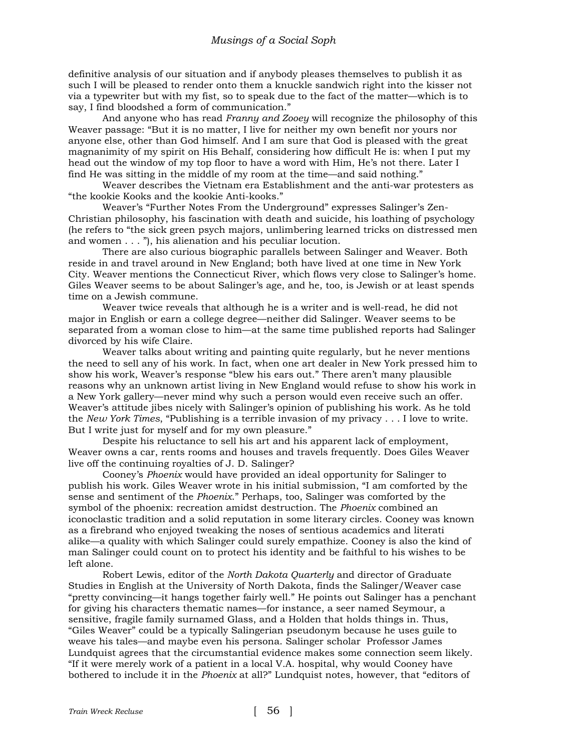definitive analysis of our situation and if anybody pleases themselves to publish it as such I will be pleased to render onto them a knuckle sandwich right into the kisser not via a typewriter but with my fist, so to speak due to the fact of the matter—which is to say, I find bloodshed a form of communication."

And anyone who has read *Franny and Zooey* will recognize the philosophy of this Weaver passage: "But it is no matter, I live for neither my own benefit nor yours nor anyone else, other than God himself. And I am sure that God is pleased with the great magnanimity of my spirit on His Behalf, considering how difficult He is: when I put my head out the window of my top floor to have a word with Him, He's not there. Later I find He was sitting in the middle of my room at the time—and said nothing."

Weaver describes the Vietnam era Establishment and the anti-war protesters as "the kookie Kooks and the kookie Anti-kooks."

Weaver's "Further Notes From the Underground" expresses Salinger's Zen-Christian philosophy, his fascination with death and suicide, his loathing of psychology (he refers to "the sick green psych majors, unlimbering learned tricks on distressed men and women . . . "), his alienation and his peculiar locution.

There are also curious biographic parallels between Salinger and Weaver. Both reside in and travel around in New England; both have lived at one time in New York City. Weaver mentions the Connecticut River, which flows very close to Salinger's home. Giles Weaver seems to be about Salinger's age, and he, too, is Jewish or at least spends time on a Jewish commune.

Weaver twice reveals that although he is a writer and is well-read, he did not major in English or earn a college degree—neither did Salinger. Weaver seems to be separated from a woman close to him—at the same time published reports had Salinger divorced by his wife Claire.

Weaver talks about writing and painting quite regularly, but he never mentions the need to sell any of his work. In fact, when one art dealer in New York pressed him to show his work, Weaver's response "blew his ears out." There aren't many plausible reasons why an unknown artist living in New England would refuse to show his work in a New York gallery—never mind why such a person would even receive such an offer. Weaver's attitude jibes nicely with Salinger's opinion of publishing his work. As he told the *New York Times*, "Publishing is a terrible invasion of my privacy . . . I love to write. But I write just for myself and for my own pleasure."

Despite his reluctance to sell his art and his apparent lack of employment, Weaver owns a car, rents rooms and houses and travels frequently. Does Giles Weaver live off the continuing royalties of J. D. Salinger?

Cooney's *Phoenix* would have provided an ideal opportunity for Salinger to publish his work. Giles Weaver wrote in his initial submission, "I am comforted by the sense and sentiment of the *Phoenix*." Perhaps, too, Salinger was comforted by the symbol of the phoenix: recreation amidst destruction. The *Phoenix* combined an iconoclastic tradition and a solid reputation in some literary circles. Cooney was known as a firebrand who enjoyed tweaking the noses of sentious academics and literati alike—a quality with which Salinger could surely empathize. Cooney is also the kind of man Salinger could count on to protect his identity and be faithful to his wishes to be left alone.

Robert Lewis, editor of the *North Dakota Quarterly* and director of Graduate Studies in English at the University of North Dakota, finds the Salinger/Weaver case "pretty convincing—it hangs together fairly well." He points out Salinger has a penchant for giving his characters thematic names—for instance, a seer named Seymour, a sensitive, fragile family surnamed Glass, and a Holden that holds things in. Thus, "Giles Weaver" could be a typically Salingerian pseudonym because he uses guile to weave his tales—and maybe even his persona. Salinger scholar Professor James Lundquist agrees that the circumstantial evidence makes some connection seem likely. "If it were merely work of a patient in a local V.A. hospital, why would Cooney have bothered to include it in the *Phoenix* at all?" Lundquist notes, however, that "editors of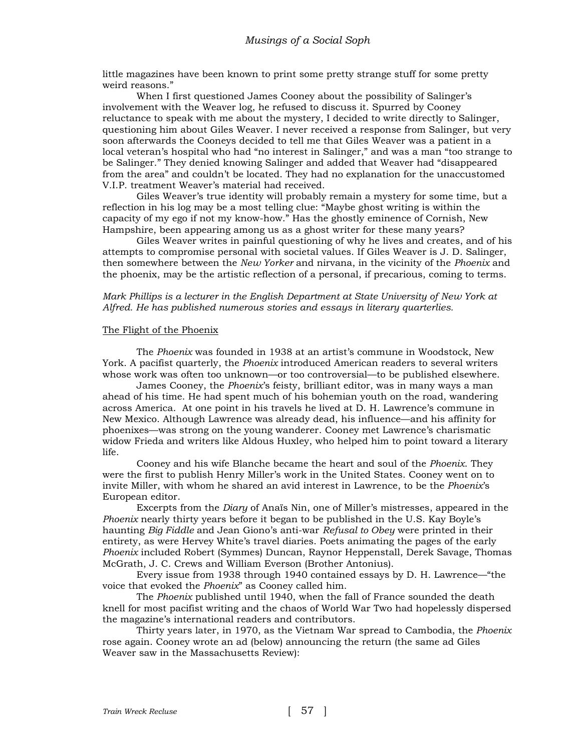little magazines have been known to print some pretty strange stuff for some pretty weird reasons."

When I first questioned James Cooney about the possibility of Salinger's involvement with the Weaver log, he refused to discuss it. Spurred by Cooney reluctance to speak with me about the mystery, I decided to write directly to Salinger, questioning him about Giles Weaver. I never received a response from Salinger, but very soon afterwards the Cooneys decided to tell me that Giles Weaver was a patient in a local veteran's hospital who had "no interest in Salinger," and was a man "too strange to be Salinger." They denied knowing Salinger and added that Weaver had "disappeared from the area" and couldn't be located. They had no explanation for the unaccustomed V.I.P. treatment Weaver's material had received.

Giles Weaver's true identity will probably remain a mystery for some time, but a reflection in his log may be a most telling clue: "Maybe ghost writing is within the capacity of my ego if not my know-how." Has the ghostly eminence of Cornish, New Hampshire, been appearing among us as a ghost writer for these many years?

Giles Weaver writes in painful questioning of why he lives and creates, and of his attempts to compromise personal with societal values. If Giles Weaver is J. D. Salinger, then somewhere between the *New Yorker* and nirvana, in the vicinity of the *Phoenix* and the phoenix, may be the artistic reflection of a personal, if precarious, coming to terms.

*Mark Phillips is a lecturer in the English Department at State University of New York at Alfred. He has published numerous stories and essays in literary quarterlies.*

## The Flight of the Phoenix

The *Phoenix* was founded in 1938 at an artist's commune in Woodstock, New York. A pacifist quarterly, the *Phoenix* introduced American readers to several writers whose work was often too unknown—or too controversial—to be published elsewhere.

James Cooney, the *Phoenix*'s feisty, brilliant editor, was in many ways a man ahead of his time. He had spent much of his bohemian youth on the road, wandering across America. At one point in his travels he lived at D. H. Lawrence's commune in New Mexico. Although Lawrence was already dead, his influence—and his affinity for phoenixes—was strong on the young wanderer. Cooney met Lawrence's charismatic widow Frieda and writers like Aldous Huxley, who helped him to point toward a literary life.

Cooney and his wife Blanche became the heart and soul of the *Phoenix*. They were the first to publish Henry Miller's work in the United States. Cooney went on to invite Miller, with whom he shared an avid interest in Lawrence, to be the *Phoenix*'s European editor.

Excerpts from the *Diary* of Anaïs Nin, one of Miller's mistresses, appeared in the *Phoenix* nearly thirty years before it began to be published in the U.S. Kay Boyle's haunting *Big Fiddle* and Jean Giono's anti-war *Refusal to Obey* were printed in their entirety, as were Hervey White's travel diaries. Poets animating the pages of the early *Phoenix* included Robert (Symmes) Duncan, Raynor Heppenstall, Derek Savage, Thomas McGrath, J. C. Crews and William Everson (Brother Antonius).

Every issue from 1938 through 1940 contained essays by D. H. Lawrence—"the voice that evoked the *Phoenix*" as Cooney called him.

The *Phoenix* published until 1940, when the fall of France sounded the death knell for most pacifist writing and the chaos of World War Two had hopelessly dispersed the magazine's international readers and contributors.

Thirty years later, in 1970, as the Vietnam War spread to Cambodia, the *Phoenix* rose again. Cooney wrote an ad (below) announcing the return (the same ad Giles Weaver saw in the Massachusetts Review):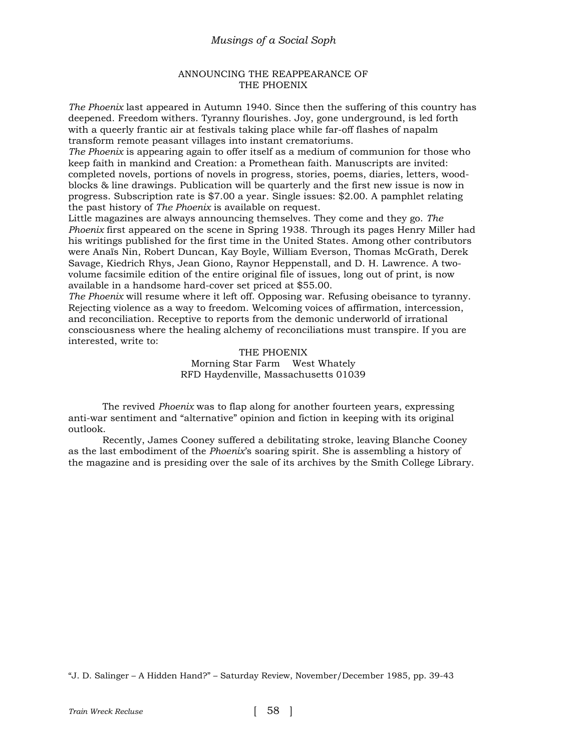# *Musings of a Social Soph*

## ANNOUNCING THE REAPPEARANCE OF THE PHOENIX

*The Phoenix* last appeared in Autumn 1940. Since then the suffering of this country has deepened. Freedom withers. Tyranny flourishes. Joy, gone underground, is led forth with a queerly frantic air at festivals taking place while far-off flashes of napalm transform remote peasant villages into instant crematoriums.

*The Phoenix* is appearing again to offer itself as a medium of communion for those who keep faith in mankind and Creation: a Promethean faith. Manuscripts are invited: completed novels, portions of novels in progress, stories, poems, diaries, letters, woodblocks & line drawings. Publication will be quarterly and the first new issue is now in progress. Subscription rate is \$7.00 a year. Single issues: \$2.00. A pamphlet relating the past history of *The Phoenix* is available on request.

Little magazines are always announcing themselves. They come and they go. *The Phoenix* first appeared on the scene in Spring 1938. Through its pages Henry Miller had his writings published for the first time in the United States. Among other contributors were Anaïs Nin, Robert Duncan, Kay Boyle, William Everson, Thomas McGrath, Derek Savage, Kiedrich Rhys, Jean Giono, Raynor Heppenstall, and D. H. Lawrence. A twovolume facsimile edition of the entire original file of issues, long out of print, is now available in a handsome hard-cover set priced at \$55.00.

*The Phoenix* will resume where it left off. Opposing war. Refusing obeisance to tyranny. Rejecting violence as a way to freedom. Welcoming voices of affirmation, intercession, and reconciliation. Receptive to reports from the demonic underworld of irrational consciousness where the healing alchemy of reconciliations must transpire. If you are interested, write to:

## THE PHOENIX Morning Star Farm West Whately RFD Haydenville, Massachusetts 01039

The revived *Phoenix* was to flap along for another fourteen years, expressing anti-war sentiment and "alternative" opinion and fiction in keeping with its original outlook.

Recently, James Cooney suffered a debilitating stroke, leaving Blanche Cooney as the last embodiment of the *Phoenix*'s soaring spirit. She is assembling a history of the magazine and is presiding over the sale of its archives by the Smith College Library.

"J. D. Salinger – A Hidden Hand?" – Saturday Review, November/December 1985, pp. 39-43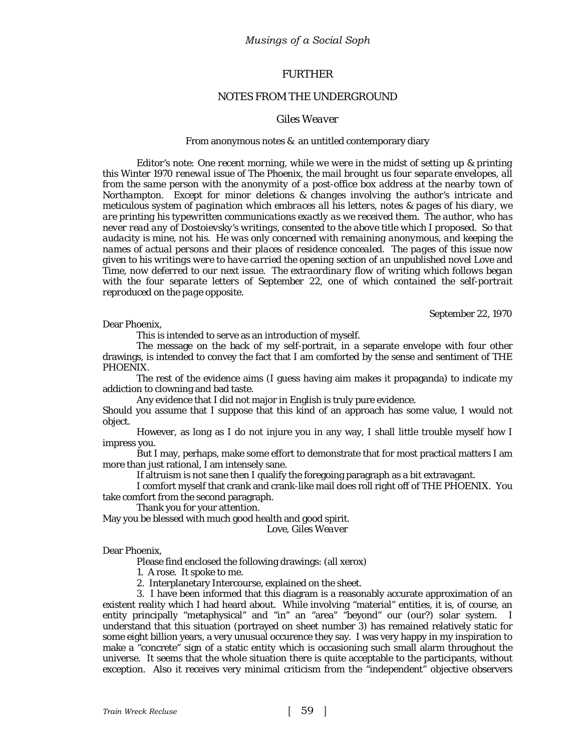## FURTHER

# NOTES FROM THE UNDERGROUND

## *Giles Weaver*

#### From anonymous notes & an untitled contemporary diary

*Editor's note: One recent morning, while we were in the midst of setting up & printing this* Winter 1970 *renewal issue of The Phoenix, the mail brought us four separate envelopes, all from the same person with the anonymity of a post-office box address at the nearby town of Northampton. Except for minor deletions & changes involving the author's intricate and meticulous system of pagination which embraces all his letters, notes & pages of his diary, we are printing his typewritten communications exactly as we received them. The author, who has never read any of Dostoievsky's writings, consented to the above title which I proposed. So that audacity is mine, not his. He was only concerned with remaining anonymous, and keeping the names of actual persons and their places of residence concealed. The pages of this issue now given to his writings were to have carried the opening section of an unpublished novel* Love and Time*, now deferred to our next issue. The extraordinary flow of writing which follows began with the four separate letters of September 22, one of which contained the self-portrait reproduced on the page opposite.*

September 22, 1970

Dear Phoenix,

This is intended to serve as an introduction of myself.

The message on the back of my self-portrait, in a separate envelope with four other drawings, is intended to convey the fact that I am comforted by the sense and sentiment of THE PHOENIX.

The rest of the evidence aims (I guess having aim makes it propaganda) to indicate my addiction to clowning and bad taste.

Any evidence that I did not major in English is truly pure evidence.

Should you assume that I suppose that this kind of an approach has some value, I would not object.

However, as long as I do not injure you in any way, I shall little trouble myself how I impress you.

But I may, perhaps, make some effort to demonstrate that for most practical matters I am more than just rational, I am intensely sane.

If altruism is not sane then I qualify the foregoing paragraph as a bit extravagant.

I comfort myself that crank and crank-like mail does roll right off of THE PHOENIX. You take comfort from the second paragraph.

Thank you for your attention.

May you be blessed with much good health and good spirit.

Love, *Giles Weaver*

Dear Phoenix,

Please find enclosed the following drawings: (all xerox)

1. A rose. It spoke to me.

2. Interplanetary Intercourse, explained on the sheet.

3. I have been informed that this diagram is a reasonably accurate approximation of an existent reality which I had heard about. While involving "material" entities, it is, of course, an entity principally "metaphysical" and "in" an "area" "beyond" our (our?) solar system. I understand that this situation (portrayed on sheet number 3) has remained relatively static for some eight billion years, a very unusual occurence they say. I was very happy in my inspiration to make a "concrete" sign of a static entity which is occasioning such small alarm throughout the universe. It seems that the whole situation there is quite acceptable to the participants, without exception. Also it receives very minimal criticism from the "independent" objective observers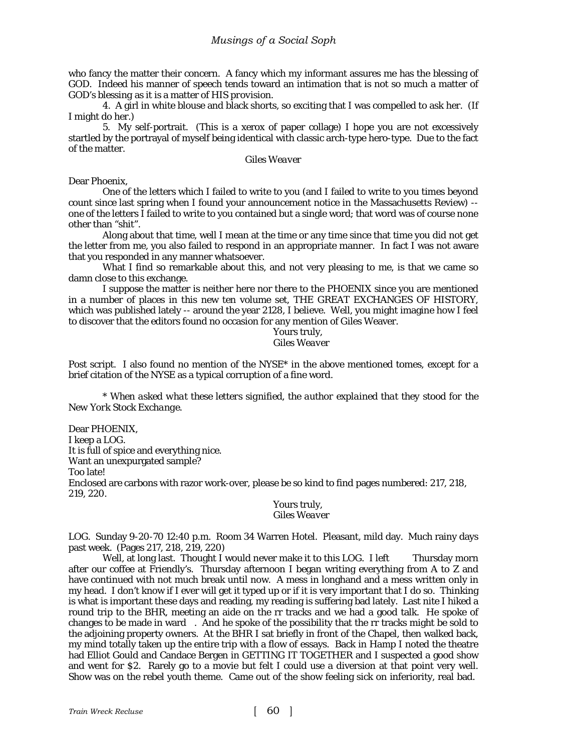## *Musings of a Social Soph*

who fancy the matter their concern. A fancy which my informant assures me has the blessing of GOD. Indeed his manner of speech tends toward an intimation that is not so much a matter of GOD's *blessing* as it is a matter of HIS *provision*.

4. A girl in white blouse and black shorts, so exciting that I was compelled to ask her. (If I might do her.)

5. My self-portrait. (This is a xerox of paper collage) I hope you are not excessively startled by the portrayal of myself being identical with classic arch-type hero-type. Due to the fact of the matter.

#### *Giles Weaver*

Dear Phoenix,

One of the letters which I failed to write to you (and I failed to write to you times beyond count since last spring when I found your announcement notice in the Massachusetts Review) - one of the letters I failed to write to you contained but a single word; that word was of course none other than "shit".

Along about that time, well I mean at the time or any time since that time you did not get the letter from me, you also failed to respond in an appropriate manner. In fact I was not aware that you responded in any manner whatsoever.

What I find so remarkable about this, and not very pleasing to me, is that we came so damn close to this exchange.

I suppose the matter is neither here nor there to the PHOENIX since you are mentioned in a number of places in this new ten volume set, THE GREAT EXCHANGES OF HISTORY, which was published lately -- around the year 2128, I believe. Well, you might imagine how I feel to discover that the editors found no occasion for any mention of Giles Weaver.

> Yours truly, *Giles Weaver*

Post script. I also found no mention of the NYSE\* in the above mentioned tomes, except for a brief citation of the NYSE as a typical corruption of a fine word.

*\* When asked what these letters signified, the author explained that they stood for the New York Stock Exchange.*

Dear PHOENIX, I keep a LOG. It is full of spice and everything nice. Want an unexpurgated sample? Too late! Enclosed are carbons with razor work-over, please be so kind to find pages numbered: 217, 218, 219, 220.

> Yours truly, *Giles Weaver*

LOG. Sunday 9-20-70 12:40 p.m. Room 34 Warren Hotel. Pleasant, mild day. Much rainy days past week. (Pages 217, 218, 219, 220)

Well, at long last. Thought I would never make it to this LOG. I left Thursday morn after our coffee at Friendly's. Thursday afternoon I began writing everything from A to Z and have continued with not much break until now. A mess in longhand and a mess written only in my head. I don't know if I ever will get it typed up or if it is very important that I do so. Thinking is what is important these days and reading, my reading is suffering bad lately. Last nite I hiked a round trip to the BHR, meeting an aide on the rr tracks and we had a good talk. He spoke of changes to be made in ward . And he spoke of the possibility that the rr tracks might be sold to the adjoining property owners. At the BHR I sat briefly in front of the Chapel, then walked back, my mind totally taken up the entire trip with a flow of essays. Back in Hamp I noted the theatre had Elliot Gould and Candace Bergen in GETTING IT TOGETHER and I suspected a good show and went for \$2. Rarely go to a movie but felt I could use a diversion at that point very well. Show was on the rebel youth theme. Came out of the show feeling sick on inferiority, real bad.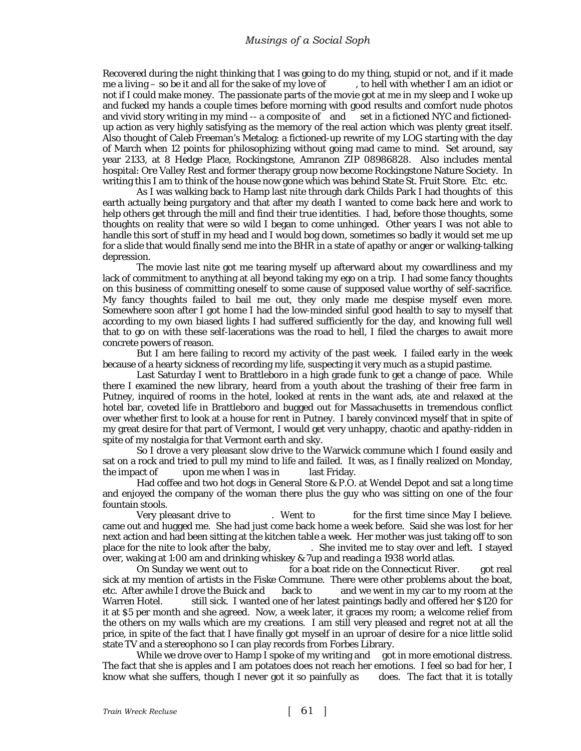Recovered during the night thinking that I was going to do my thing, stupid or not, and if it made me a living  $-$  so be it and all for the sake of my love of  $\qquad \qquad$ , to hell with whether I am an idiot or not if I could make money. The passionate parts of the movie got at me in my sleep and I woke up and fucked my hands a couple times before morning with good results and comfort nude photos and vivid story writing in my mind -- a composite of and set in a fictioned NYC and fictionedup action as very highly satisfying as the memory of the real action which was plenty great itself. Also thought of Caleb Freeman's Metalog: a fictioned-up rewrite of my LOG starting with the day of March when 12 points for philosophizing without going mad came to mind. Set around, say year 2133, at 8 Hedge Place, Rockingstone, Amranon ZIP 08986828. Also includes mental hospital: Ore Valley Rest and former therapy group now become Rockingstone Nature Society. In writing this I am to think of the house now gone which was behind State St. Fruit Store. Etc. etc.

As I was walking back to Hamp last nite through dark Childs Park I had thoughts of this earth actually being purgatory and that after my death I wanted to come back here and work to help others get through the mill and find their true identities. I had, before those thoughts, some thoughts on reality that were so wild I began to come unhinged. Other years I was not able to handle this sort of stuff in my head and I would bog down, sometimes so badly it would set me up for a slide that would finally send me into the BHR in a state of apathy or anger or walking-talking depression.

The movie last nite got me tearing myself up afterward about my cowardliness and my lack of commitment to anything at all beyond taking my ego on a trip. I had some fancy thoughts on this business of committing oneself to some cause of supposed value worthy of self-sacrifice. My fancy thoughts failed to bail me out, they only made me despise myself even more. Somewhere soon after I got home I had the low-minded sinful good health to say to myself that according to my own biased lights I had suffered sufficiently for the day, and knowing full well that to go on with these self-lacerations was the road to hell, I filed the charges to await more concrete powers of reason.

But I am here failing to record my activity of the past week. I failed early in the week because of a hearty sickness of recording my life, suspecting it very much as a stupid pastime.

Last Saturday I went to Brattleboro in a high grade funk to get a change of pace. While there I examined the new library, heard from a youth about the trashing of their free farm in Putney, inquired of rooms in the hotel, looked at rents in the want ads, ate and relaxed at the hotel bar, coveted life in Brattleboro and bugged out for Massachusetts in tremendous conflict over whether first to look at a house for rent in Putney. I barely convinced myself that in spite of my great desire for that part of Vermont, I would get very unhappy, chaotic and apathy-ridden in spite of my nostalgia for that Vermont earth and sky.

So I drove a very pleasant slow drive to the Warwick commune which I found easily and sat on a rock and tried to pull my mind to life and failed. It was, as I finally realized on Monday, the impact of upon me when I was in last Friday.

Had coffee and two hot dogs in General Store & P.O. at Wendel Depot and sat a long time and enjoyed the company of the woman there plus the guy who was sitting on one of the four fountain stools.

Very pleasant drive to example to the first time since May I believe. came out and hugged me. She had just come back home a week before. Said she was lost for her next action and had been sitting at the kitchen table a week. Her mother was just taking off to son place for the nite to look after the baby, . She invited me to stay over and left. I stayed over, waking at 1:00 am and drinking whiskey & 7up and reading a 1938 world atlas.

On Sunday we went out to for a boat ride on the Connecticut River. got real sick at my mention of artists in the Fiske Commune. There were other problems about the boat, etc. After awhile I drove the Buick and back to and we went in my car to my room at the Warren Hotel. still sick. I wanted one of her latest paintings badly and offered her \$120 for it at \$5 per month and she agreed. Now, a week later, it graces my room; a welcome relief from the others on my walls which are my creations. I am still very pleased and regret not at all the price, in spite of the fact that I have finally got myself in an uproar of desire for a nice little solid state TV and a stereophono so I can play records from Forbes Library.

While we drove over to Hamp I spoke of my writing and got in more emotional distress. The fact that she is apples and I am potatoes does not reach her emotions. I feel so bad for her, I know what she suffers, though I never got it so painfully as does. The fact that it is totally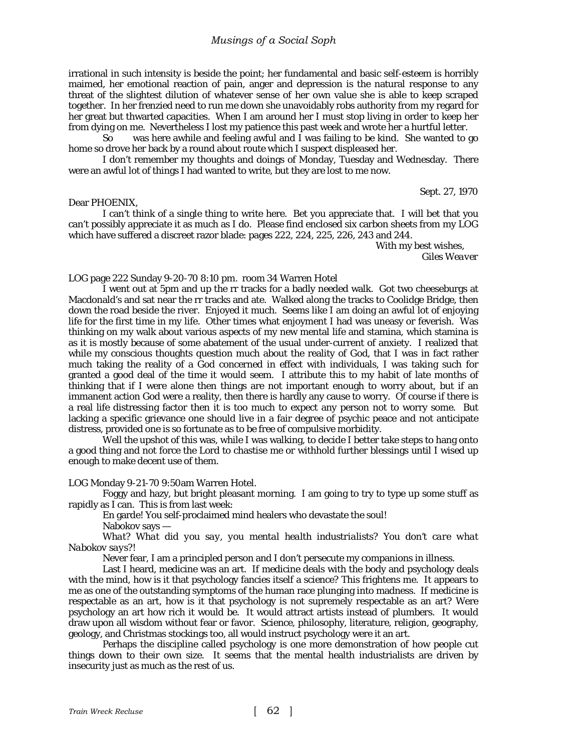irrational in such intensity is beside the point; her fundamental and basic self-esteem is horribly maimed, her emotional reaction of pain, anger and depression is the natural response to any threat of the slightest dilution of whatever sense of her own value she is able to keep scraped together. In her frenzied need to run me down she unavoidably robs authority from my regard for her great but thwarted capacities. When I am around her I must stop living in order to keep her from dying on me. Nevertheless I lost my patience this past week and wrote her a hurtful letter.

So was here awhile and feeling awful and I was failing to be kind. She wanted to go home so drove her back by a round about route which I suspect displeased her.

I don't remember my thoughts and doings of Monday, Tuesday and Wednesday. There were an awful lot of things I had wanted to write, but they are lost to me now.

Sept. 27, 1970

#### Dear PHOENIX,

I can't think of a single thing to write here. Bet you appreciate that. I will bet that you can't possibly appreciate it as much as I do. Please find enclosed six carbon sheets from my LOG which have suffered a discreet razor blade: pages 222, 224, 225, 226, 243 and 244.

With my best wishes, *Giles Weaver*

#### LOG page 222 Sunday 9-20-70 8:10 pm. room 34 Warren Hotel

I went out at 5pm and up the rr tracks for a badly needed walk. Got two cheeseburgs at Macdonald's and sat near the rr tracks and ate. Walked along the tracks to Coolidge Bridge, then down the road beside the river. Enjoyed it much. Seems like I am doing an awful lot of enjoying life for the first time in my life. Other times what enjoyment I had was uneasy or feverish. Was thinking on my walk about various aspects of my new mental life and stamina, which stamina is as it is mostly because of some abatement of the usual under-current of anxiety. I realized that while my conscious thoughts question much about the reality of God, that I was in fact rather much taking the reality of a God concerned in effect with individuals, I was taking such for granted a good deal of the time it would seem. I attribute this to my habit of late months of thinking that if I were alone then things are not important enough to worry about, but if an immanent action God were a reality, then there is hardly any cause to worry. Of course if there is a real life distressing factor then it is too much to expect any person not to worry some. But lacking a specific grievance one should live in a fair degree of psychic peace and not anticipate distress, provided one is so fortunate as to be free of compulsive morbidity.

Well the upshot of this was, while I was walking, to decide I better take steps to hang onto a good thing and not force the Lord to chastise me or withhold further blessings until I wised up enough to make decent use of them.

#### LOG Monday 9-21-70 9:50am Warren Hotel.

Foggy and hazy, but bright pleasant morning. I am going to try to type up some stuff as rapidly as I can. This is from last week:

En garde! You self-proclaimed mind healers who devastate the soul!

Nabokov says —

*What? What did you say, you mental health industrialists? You don't care what Nabokov says?!*

Never fear, I am a principled person and I don't persecute my companions in illness.

Last I heard, medicine was an art. If medicine deals with the body and psychology deals with the mind, how is it that psychology fancies itself a *science*? This frightens me. It appears to me as one of the outstanding symptoms of the human race plunging into madness. If medicine is respectable as an art, how is it that psychology is not supremely respectable as an art? Were psychology an art how rich it would be. It would attract artists instead of plumbers. It would draw upon all wisdom without fear or favor. Science, philosophy, literature, religion, geography, geology, and Christmas stockings too, all would instruct psychology were it an art.

Perhaps the discipline called psychology is one more demonstration of how people cut things down to their own size. It seems that the mental health industrialists are driven by insecurity just as much as the rest of us.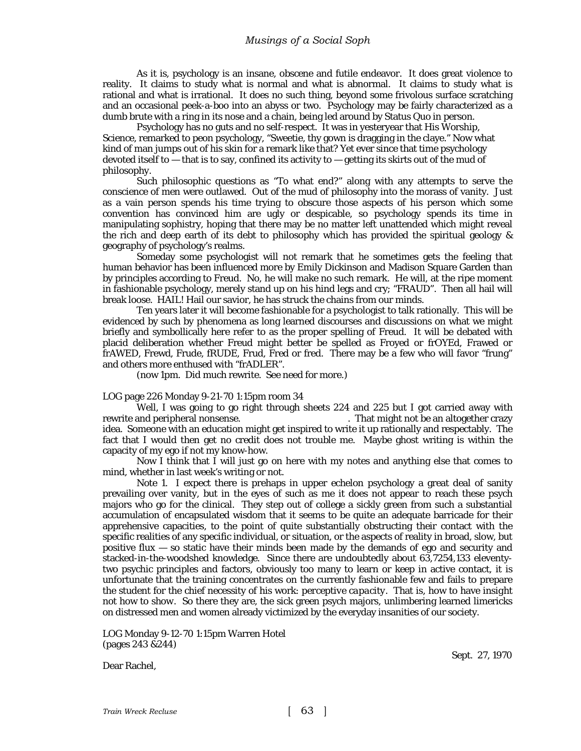As it is, psychology is an insane, obscene and futile endeavor. It does great violence to reality. It claims to study what is normal and what is abnormal. It claims to study what is rational and what is irrational. It does no such thing, beyond some frivolous surface scratching and an occasional peek-a-boo into an abyss or two. Psychology may be fairly characterized as a dumb brute with a ring in its nose and a chain, being led around by Status Quo in person.

Psychology has no guts and no self-respect. It was in yesteryear that His Worship, Science, remarked to peon psychology, "Sweetie, thy gown is dragging in the claye." Now what kind of man jumps out of his skin for a remark like that? Yet ever since that time psychology devoted itself to — that is to say, confined its activity to — getting its skirts out of the mud of philosophy.

Such philosophic questions as "To what end?" along with any attempts to serve the conscience of men were outlawed. Out of the mud of philosophy into the morass of vanity. Just as a vain person spends his time trying to obscure those aspects of his person which some convention has convinced him are ugly or despicable, so psychology spends its time in manipulating sophistry, hoping that there may be no matter left unattended which might reveal the rich and deep earth of its debt to philosophy which has provided the spiritual geology & geography of psychology's realms.

Someday some psychologist will not remark that he sometimes gets the feeling that human behavior has been influenced more by Emily Dickinson and Madison Square Garden than by principles according to Freud. No, he will make no such remark. He will, at the ripe moment in fashionable psychology, merely stand up on his hind legs and cry; "FRAUD". Then all hail will break loose. HAIL! Hail our savior, he has struck the chains from our minds.

Ten years later it will become fashionable for a psychologist to talk rationally. This will be evidenced by such by phenomena as long learned discourses and discussions on what we might briefly and symbollically here refer to as the proper spelling of Freud. It will be debated with placid deliberation whether Freud might better be spelled as Froyed or frOYEd, Frawed or frAWED, Frewd, Frude, fRUDE, Frud, Fred or fred. There may be a few who will favor "frung" and others more enthused with "frADLER".

(now 1pm. Did much rewrite. See need for more.)

LOG page 226 Monday 9-21-70 1:15pm room 34

Well, I was going to go right through sheets 224 and 225 but I got carried away with rewrite and peripheral nonsense. . . . That might not be an altogether crazy idea. Someone with an education might get inspired to write it up rationally and respectably. The fact that I would then get no credit does not trouble me. Maybe ghost writing is within the capacity of my ego if not my know-how.

Now I think that I will just go on here with my notes and anything else that comes to mind, whether in last week's writing or not.

Note 1. I expect there is prehaps in upper echelon psychology a great deal of sanity prevailing over vanity, but in the eyes of such as me it does not appear to reach these psych majors who go for the clinical. They step out of college a sickly green from such a substantial accumulation of encapsulated wisdom that it seems to be quite an adequate barricade for their apprehensive capacities, to the point of quite substantially obstructing their contact with the specific realities of any specific individual, or situation, or the aspects of reality in broad, slow, but positive flux — so static have their minds been made by the demands of ego and security and stacked-in-the-woodshed knowledge. Since there are undoubtedly about 63,7254,133 eleventytwo psychic principles and factors, obviously too many to learn or keep in active contact, it is unfortunate that the training concentrates on the currently fashionable few and fails to prepare the student for the chief necessity of his work: *perceptive capacity*. That is, how to have *insight* not how to *show*. So there they are, the sick green psych majors, unlimbering learned limericks on distressed men and women already victimized by the everyday insanities of our society.

LOG Monday 9-12-70 1:15pm Warren Hotel (pages 243 &244)

Dear Rachel,

Sept. 27, 1970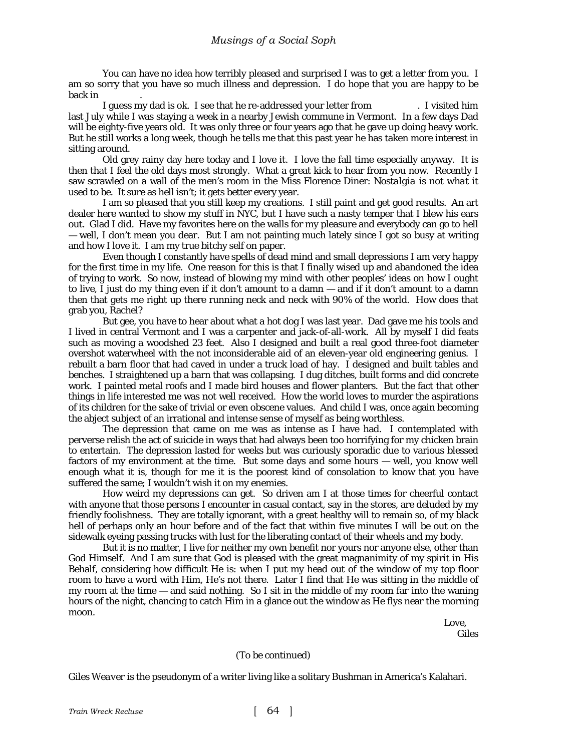## *Musings of a Social Soph*

You can have no idea how terribly pleased and surprised I was to get a letter from you. I am so sorry that you have so much illness and depression. I do hope that you are happy to be back in .

I guess my dad is ok. I see that he re-addressed your letter from . I visited him last July while I was staying a week in a nearby Jewish commune in Vermont. In a few days Dad will be eighty-five years old. It was only three or four years ago that he gave up doing heavy work. But he still works a long week, though he tells me that this past year he has taken more interest in sitting around.

Old grey rainy day here today and I love it. I love the fall time especially anyway. It is then that I feel the old days most strongly. What a great kick to hear from you now. Recently I saw scrawled on a wall of the men's room in the Miss Florence Diner: *Nostalgia is not what it used to be*. It sure as hell isn't; it gets better every year.

I am so pleased that you still keep my creations. I still paint and get good results. An art dealer here wanted to show my stuff in NYC, but I have such a nasty temper that I blew his ears out. Glad I did. Have my favorites here on the walls for my pleasure and everybody can go to hell — well, I don't mean you dear. But I am not painting much lately since I got so busy at writing and how I love it. I am my true bitchy self on paper.

Even though I constantly have spells of dead mind and small depressions I am very happy for the first time in my life. One reason for this is that I finally wised up and abandoned the idea of trying to work. So now, instead of blowing my mind with other peoples' ideas on how I ought to live, I just do my thing even if it don't amount to a damn  $-$  and if it don't amount to a damn then that gets me right up there running neck and neck with 90% of the world. How does that grab you, Rachel?

But gee, you have to hear about what a hot dog I was last year. Dad gave me his tools and I lived in central Vermont and I was a carpenter and jack-of-all-work. All by myself I did feats such as moving a woodshed 23 feet. Also I designed and built a real good three-foot diameter overshot waterwheel with the not inconsiderable aid of an eleven-year old engineering genius. I rebuilt a barn floor that had caved in under a truck load of hay. I designed and built tables and benches. I straightened up a barn that was collapsing. I dug ditches, built forms and did concrete work. I painted metal roofs and I made bird houses and flower planters. But the fact that other things in life interested me was not well received. How the world loves to murder the aspirations of its children for the sake of trivial or even obscene values. And child I was, once again becoming the abject subject of an irrational and intense sense of myself as being worthless.

The depression that came on me was as intense as I have had. I contemplated with perverse relish the act of suicide in ways that had always been too horrifying for my chicken brain to entertain. The depression lasted for weeks but was curiously sporadic due to various blessed factors of my environment at the time. But some days and some hours — well, you know well enough what it is, though for me it is the poorest kind of consolation to know that you have suffered the same; I wouldn't wish it on my enemies.

How weird my depressions can get. So driven am I at those times for cheerful contact with anyone that those persons I encounter in casual contact, say in the stores, are deluded by my friendly foolishness. They are totally ignorant, with a great healthy will to remain so, of my black hell of perhaps only an hour before and of the fact that within five minutes I will be out on the sidewalk eyeing passing trucks with lust for the liberating contact of their wheels and my body.

But it is no matter, I live for neither my own benefit nor yours nor anyone else, other than God Himself. And I am sure that God is pleased with the great magnanimity of my spirit in His Behalf, considering how difficult He is: when I put my head out of the window of my top floor room to have a word with Him, He's not there. Later I find that He was sitting in the middle of my room at the time — and said nothing. So I sit in the middle of my room far into the waning hours of the night, chancing to catch Him in a glance out the window as He flys near the morning moon.

> Love, *Giles*

#### (To be continued)

*Giles Weaver* is the pseudonym of a writer living like a solitary Bushman in America's Kalahari.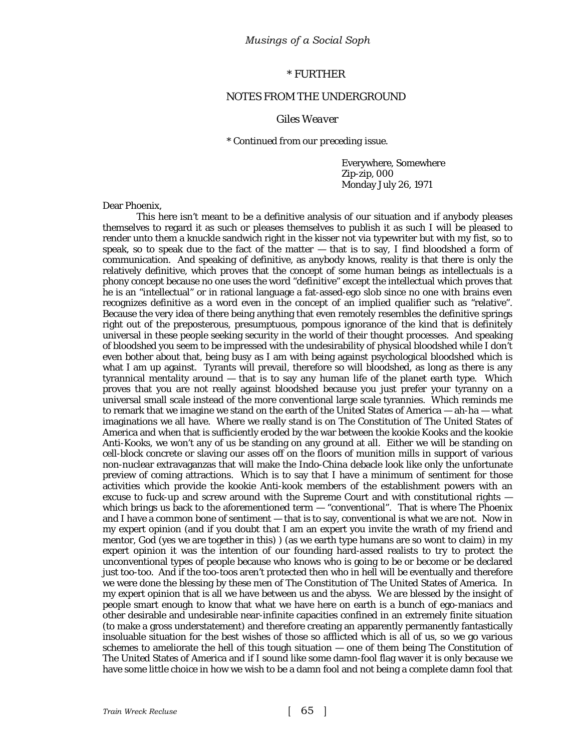# \* FURTHER

## NOTES FROM THE UNDERGROUND

#### *Giles Weaver*

#### \* *Continued from our preceding issue.*

Everywhere, Somewhere Zip-zip, 000 Monday July 26, 1971

Dear Phoenix,

This here isn't meant to be a definitive analysis of our situation and if anybody pleases themselves to regard it as such or pleases themselves to publish it as such I will be pleased to render unto them a knuckle sandwich right in the kisser not via typewriter but with my fist, so to speak, so to speak due to the fact of the matter  $-$  that is to say, I find bloodshed a form of communication. And speaking of definitive, as anybody knows, reality is that there is only the relatively definitive, which proves that the concept of some human beings as intellectuals is a phony concept because no one uses the word "definitive" except the intellectual which proves that he is an "intellectual" or in rational language a fat-assed-ego slob since no one with brains even recognizes definitive as a word even in the concept of an implied qualifier such as "relative". Because the very idea of there being anything that even remotely resembles the definitive springs right out of the preposterous, presumptuous, pompous ignorance of the kind that is definitely universal in these people seeking security in the world of their thought processes. And speaking of bloodshed you seem to be impressed with the undesirability of physical bloodshed while I don't even bother about that, being busy as I am with being against psychological bloodshed which is what I am up against. Tyrants will prevail, therefore so will bloodshed, as long as there is any tyrannical mentality around — that is to say any human life of the planet earth type. Which proves that you are not really against bloodshed because you just prefer your tyranny on a universal small scale instead of the more conventional large scale tyrannies. Which reminds me to remark that we imagine we stand on the earth of the United States of America — ah-ha — what imaginations we all have. Where we really stand is on The Constitution of The United States of America and when that is sufficiently eroded by the war between the kookie Kooks and the kookie Anti-Kooks, we won't any of us be standing on any ground at all. Either we will be standing on cell-block concrete or slaving our asses off on the floors of munition mills in support of various non-nuclear extravaganzas that will make the Indo-China debacle look like only the unfortunate preview of coming attractions. Which is to say that I have a minimum of sentiment for those activities which provide the kookie Anti-kook members of the establishment powers with an excuse to fuck-up and screw around with the Supreme Court and with constitutional rights which brings us back to the aforementioned term  $-$  "conventional". That is where The Phoenix and I have a common bone of sentiment — that is to say, conventional is what we are not. Now in my expert opinion (and if you doubt that I am an expert you invite the wrath of my friend and mentor, God (yes we are together in this) ) (as we earth type humans are so wont to claim) in my expert opinion it was the intention of our founding hard-assed realists to try to protect the unconventional types of people because who knows who is going to be or become or be declared just too-too. And if the too-toos aren't protected then who in hell will be eventually and therefore we were done the blessing by these men of The Constitution of The United States of America. In my expert opinion that is all we have between us and the abyss. We are blessed by the insight of people smart enough to know that what we have here on earth is a bunch of ego-maniacs and other desirable and undesirable near-infinite capacities confined in an extremely finite situation (to make a gross understatement) and therefore creating an apparently permanently fantastically insoluable situation for the best wishes of those so afflicted which is all of us, so we go various schemes to ameliorate the hell of this tough situation — one of them being The Constitution of The United States of America and if I sound like some damn-fool flag waver it is only because we have some little choice in how we wish to be a damn fool and not being a complete damn fool that